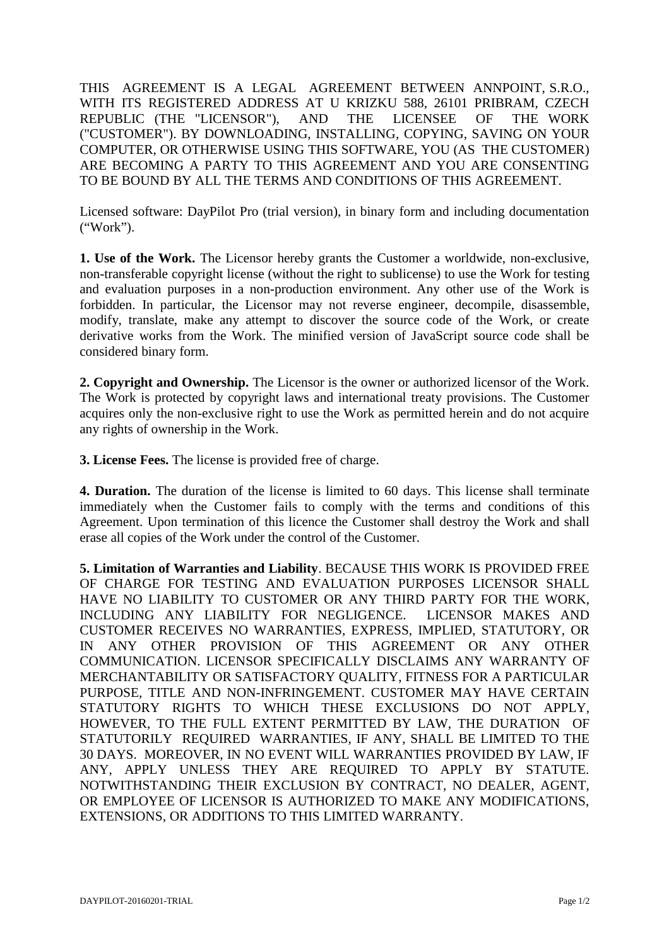THIS AGREEMENT IS A LEGAL AGREEMENT BETWEEN ANNPOINT, S.R.O., WITH ITS REGISTERED ADDRESS AT U KRIZKU 588, 26101 PRIBRAM, CZECH REPUBLIC (THE "LICENSOR"), AND THE LICENSEE OF THE WORK ("CUSTOMER"). BY DOWNLOADING, INSTALLING, COPYING, SAVING ON YOUR COMPUTER, OR OTHERWISE USING THIS SOFTWARE, YOU (AS THE CUSTOMER) ARE BECOMING A PARTY TO THIS AGREEMENT AND YOU ARE CONSENTING TO BE BOUND BY ALL THE TERMS AND CONDITIONS OF THIS AGREEMENT.

Licensed software: DayPilot Pro (trial version), in binary form and including documentation ("Work").

**1. Use of the Work.** The Licensor hereby grants the Customer a worldwide, non-exclusive, non-transferable copyright license (without the right to sublicense) to use the Work for testing and evaluation purposes in a non-production environment. Any other use of the Work is forbidden. In particular, the Licensor may not reverse engineer, decompile, disassemble, modify, translate, make any attempt to discover the source code of the Work, or create derivative works from the Work. The minified version of JavaScript source code shall be considered binary form.

**2. Copyright and Ownership.** The Licensor is the owner or authorized licensor of the Work. The Work is protected by copyright laws and international treaty provisions. The Customer acquires only the non-exclusive right to use the Work as permitted herein and do not acquire any rights of ownership in the Work.

**3. License Fees.** The license is provided free of charge.

**4. Duration.** The duration of the license is limited to 60 days. This license shall terminate immediately when the Customer fails to comply with the terms and conditions of this Agreement. Upon termination of this licence the Customer shall destroy the Work and shall erase all copies of the Work under the control of the Customer.

**5. Limitation of Warranties and Liability**. BECAUSE THIS WORK IS PROVIDED FREE OF CHARGE FOR TESTING AND EVALUATION PURPOSES LICENSOR SHALL HAVE NO LIABILITY TO CUSTOMER OR ANY THIRD PARTY FOR THE WORK, INCLUDING ANY LIABILITY FOR NEGLIGENCE. LICENSOR MAKES AND CUSTOMER RECEIVES NO WARRANTIES, EXPRESS, IMPLIED, STATUTORY, OR IN ANY OTHER PROVISION OF THIS AGREEMENT OR ANY OTHER COMMUNICATION. LICENSOR SPECIFICALLY DISCLAIMS ANY WARRANTY OF MERCHANTABILITY OR SATISFACTORY QUALITY, FITNESS FOR A PARTICULAR PURPOSE, TITLE AND NON-INFRINGEMENT. CUSTOMER MAY HAVE CERTAIN STATUTORY RIGHTS TO WHICH THESE EXCLUSIONS DO NOT APPLY, HOWEVER, TO THE FULL EXTENT PERMITTED BY LAW, THE DURATION OF STATUTORILY REQUIRED WARRANTIES, IF ANY, SHALL BE LIMITED TO THE 30 DAYS. MOREOVER, IN NO EVENT WILL WARRANTIES PROVIDED BY LAW, IF ANY, APPLY UNLESS THEY ARE REQUIRED TO APPLY BY STATUTE. NOTWITHSTANDING THEIR EXCLUSION BY CONTRACT, NO DEALER, AGENT, OR EMPLOYEE OF LICENSOR IS AUTHORIZED TO MAKE ANY MODIFICATIONS, EXTENSIONS, OR ADDITIONS TO THIS LIMITED WARRANTY.